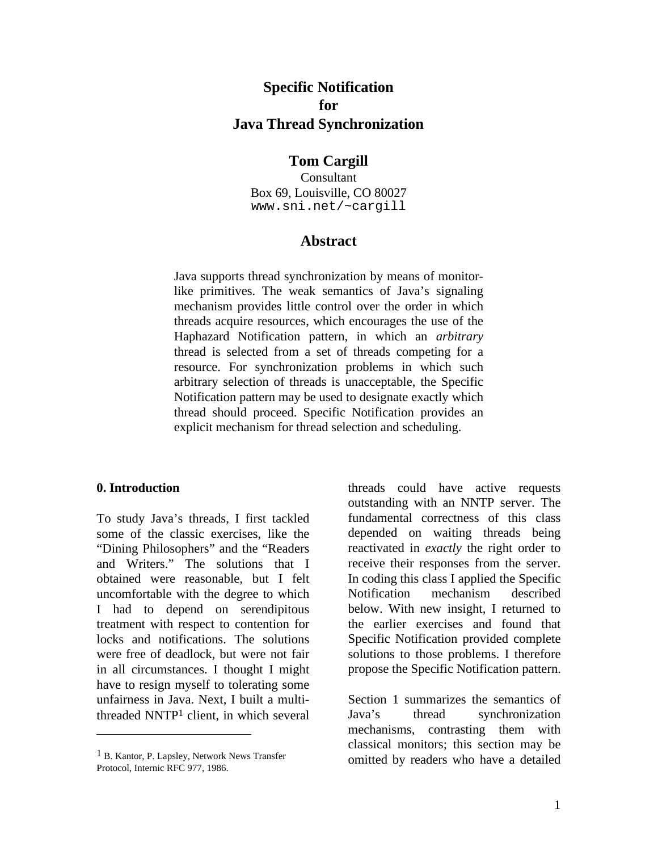# **Specific Notification for Java Thread Synchronization**

#### **Tom Cargill**

Consultant Box 69, Louisville, CO 80027 www.sni.net/~cargill

#### **Abstract**

Java supports thread synchronization by means of monitorlike primitives. The weak semantics of Java's signaling mechanism provides little control over the order in which threads acquire resources, which encourages the use of the Haphazard Notification pattern, in which an *arbitrary* thread is selected from a set of threads competing for a resource. For synchronization problems in which such arbitrary selection of threads is unacceptable, the Specific Notification pattern may be used to designate exactly which thread should proceed. Specific Notification provides an explicit mechanism for thread selection and scheduling.

#### **0. Introduction**

-

To study Java's threads, I first tackled some of the classic exercises, like the "Dining Philosophers" and the "Readers and Writers." The solutions that I obtained were reasonable, but I felt uncomfortable with the degree to which I had to depend on serendipitous treatment with respect to contention for locks and notifications. The solutions were free of deadlock, but were not fair in all circumstances. I thought I might have to resign myself to tolerating some unfairness in Java. Next, I built a multithreaded NNTP1 client, in which several

threads could have active requests outstanding with an NNTP server. The fundamental correctness of this class depended on waiting threads being reactivated in *exactly* the right order to receive their responses from the server. In coding this class I applied the Specific Notification mechanism described below. With new insight, I returned to the earlier exercises and found that Specific Notification provided complete solutions to those problems. I therefore propose the Specific Notification pattern.

Section 1 summarizes the semantics of Java's thread synchronization mechanisms, contrasting them with classical monitors; this section may be omitted by readers who have a detailed

<sup>1</sup> B. Kantor, P. Lapsley, Network News Transfer Protocol, Internic RFC 977, 1986.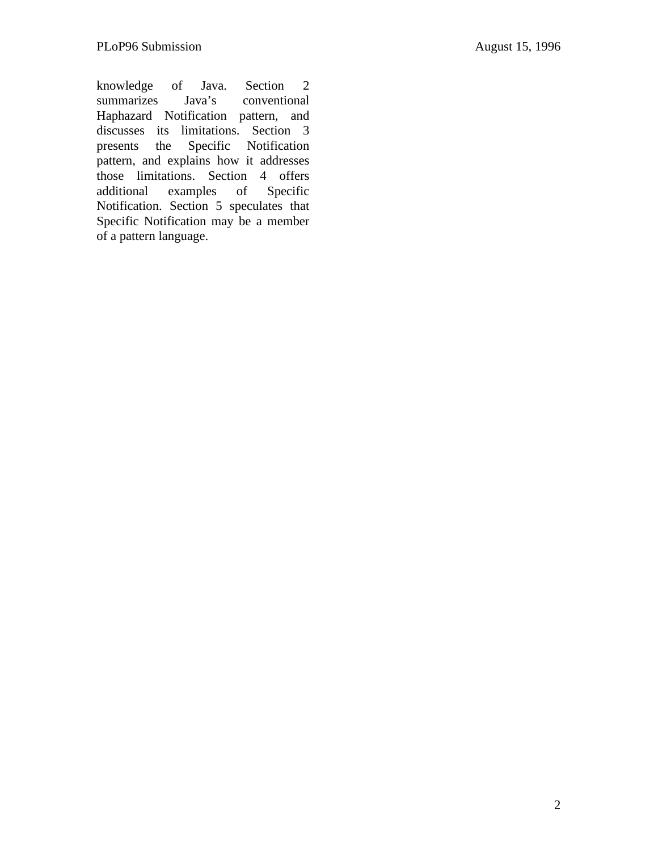knowledge of Java. Section 2 summarizes Java's conventional Haphazard Notification pattern, and discusses its limitations. Section 3 presents the Specific Notification pattern, and explains how it addresses those limitations. Section 4 offers additional examples of Specific Notification. Section 5 speculates that Specific Notification may be a member of a pattern language.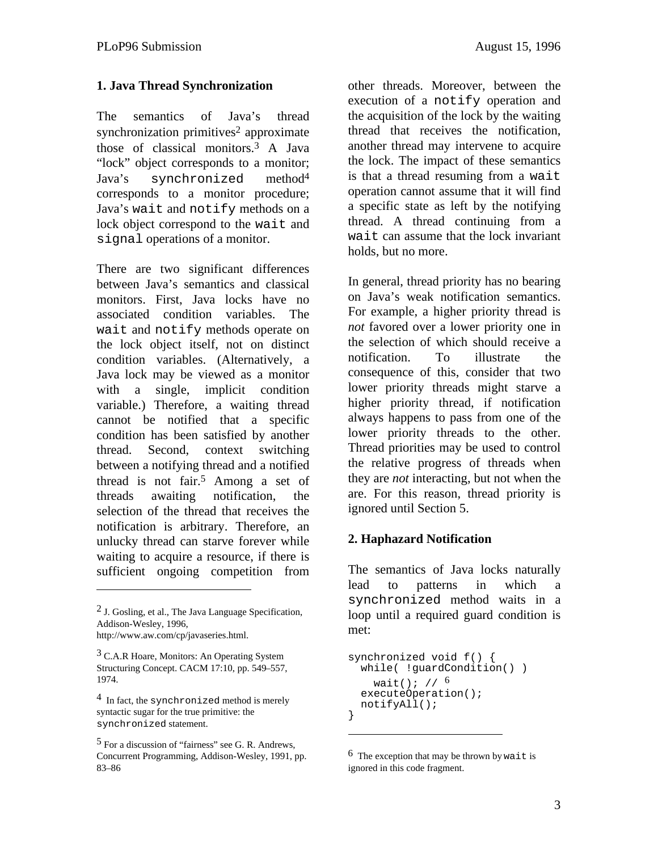#### **1. Java Thread Synchronization**

The semantics of Java's thread synchronization primitives<sup>2</sup> approximate those of classical monitors.3 A Java "lock" object corresponds to a monitor; Java's synchronized method4 corresponds to a monitor procedure; Java's wait and notify methods on a lock object correspond to the wait and signal operations of a monitor.

There are two significant differences between Java's semantics and classical monitors. First, Java locks have no associated condition variables. The wait and notify methods operate on the lock object itself, not on distinct condition variables. (Alternatively, a Java lock may be viewed as a monitor with a single, implicit condition variable.) Therefore, a waiting thread cannot be notified that a specific condition has been satisfied by another thread. Second, context switching between a notifying thread and a notified thread is not fair.5 Among a set of threads awaiting notification, the selection of the thread that receives the notification is arbitrary. Therefore, an unlucky thread can starve forever while waiting to acquire a resource, if there is sufficient ongoing competition from

http://www.aw.com/cp/javaseries.html.

-

<sup>3</sup> C.A.R Hoare, Monitors: An Operating System Structuring Concept. CACM 17:10, pp. 549–557, 1974.

 $4$  In fact, the synchronized method is merely syntactic sugar for the true primitive: the synchronized statement.

5 For a discussion of "fairness" see G. R. Andrews, Concurrent Programming, Addison-Wesley, 1991, pp. 83–86

other threads. Moreover, between the execution of a notify operation and the acquisition of the lock by the waiting thread that receives the notification, another thread may intervene to acquire the lock. The impact of these semantics is that a thread resuming from a wait operation cannot assume that it will find a specific state as left by the notifying thread. A thread continuing from a wait can assume that the lock invariant holds, but no more.

In general, thread priority has no bearing on Java's weak notification semantics. For example, a higher priority thread is *not* favored over a lower priority one in the selection of which should receive a notification. To illustrate the consequence of this, consider that two lower priority threads might starve a higher priority thread, if notification always happens to pass from one of the lower priority threads to the other. Thread priorities may be used to control the relative progress of threads when they are *not* interacting, but not when the are. For this reason, thread priority is ignored until Section 5.

## **2. Haphazard Notification**

The semantics of Java locks naturally lead to patterns in which a synchronized method waits in a loop until a required guard condition is met:

```
synchronized void f() {
 while( !guardCondition() )
    wait(); 1/6executeOperation();
  notifyAll();
}
```
 $<sup>2</sup>$  J. Gosling, et al., The Java Language Specification,</sup> Addison-Wesley, 1996,

 $^6$  The exception that may be thrown by wait is ignored in this code fragment.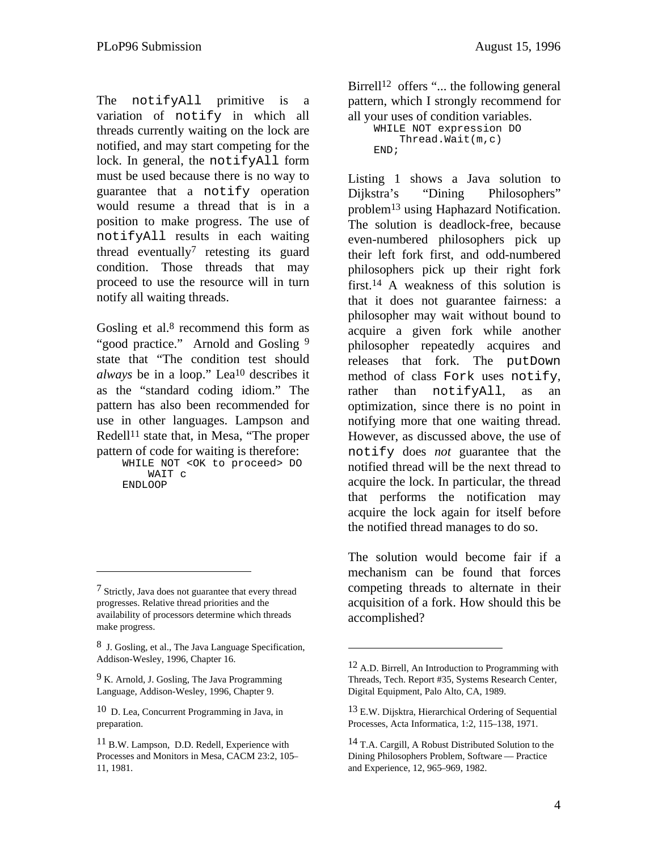The notifyAll primitive is a variation of notify in which all threads currently waiting on the lock are notified, and may start competing for the lock. In general, the notifyAll form must be used because there is no way to guarantee that a notify operation would resume a thread that is in a position to make progress. The use of notifyAll results in each waiting thread eventually<sup>7</sup> retesting its guard condition. Those threads that may proceed to use the resource will in turn notify all waiting threads.

Gosling et al. $8$  recommend this form as "good practice." Arnold and Gosling 9 state that "The condition test should *always* be in a loop." Lea10 describes it as the "standard coding idiom." The pattern has also been recommended for use in other languages. Lampson and Redell<sup>11</sup> state that, in Mesa, "The proper pattern of code for waiting is therefore:

 WHILE NOT <OK to proceed> DO WAIT c ENDLOOP

-

8 J. Gosling, et al., The Java Language Specification, Addison-Wesley, 1996, Chapter 16.

 $9 K.$  Arnold, J. Gosling, The Java Programming Language, Addison-Wesley, 1996, Chapter 9.

10 D. Lea, Concurrent Programming in Java, in preparation.

Birrell<sup>12</sup> offers "... the following general pattern, which I strongly recommend for all your uses of condition variables.

 WHILE NOT expression DO Thread.Wait(m,c) END;

Listing 1 shows a Java solution to Dijkstra's "Dining Philosophers" problem13 using Haphazard Notification. The solution is deadlock-free, because even-numbered philosophers pick up their left fork first, and odd-numbered philosophers pick up their right fork first.14 A weakness of this solution is that it does not guarantee fairness: a philosopher may wait without bound to acquire a given fork while another philosopher repeatedly acquires and releases that fork. The putDown method of class Fork uses notify, rather than notifyAll, as an optimization, since there is no point in notifying more that one waiting thread. However, as discussed above, the use of notify does *not* guarantee that the notified thread will be the next thread to acquire the lock. In particular, the thread that performs the notification may acquire the lock again for itself before the notified thread manages to do so.

The solution would become fair if a mechanism can be found that forces competing threads to alternate in their acquisition of a fork. How should this be accomplished?

<sup>7</sup> Strictly, Java does not guarantee that every thread progresses. Relative thread priorities and the availability of processors determine which threads make progress.

<sup>11</sup> B.W. Lampson, D.D. Redell, Experience with Processes and Monitors in Mesa, CACM 23:2, 105– 11, 1981.

<sup>&</sup>lt;sup>12</sup> A.D. Birrell, An Introduction to Programming with Threads, Tech. Report #35, Systems Research Center, Digital Equipment, Palo Alto, CA, 1989.

<sup>13</sup> E.W. Dijsktra, Hierarchical Ordering of Sequential Processes, Acta Informatica, 1:2, 115–138, 1971.

<sup>14</sup> T.A. Cargill, A Robust Distributed Solution to the Dining Philosophers Problem, Software — Practice and Experience, 12, 965–969, 1982.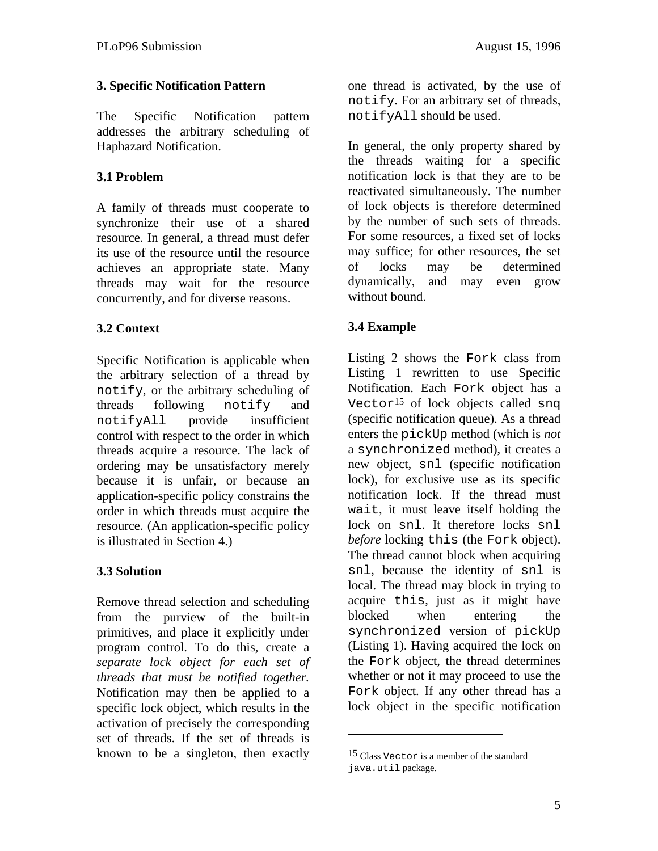## **3. Specific Notification Pattern**

The Specific Notification pattern addresses the arbitrary scheduling of Haphazard Notification.

## **3.1 Problem**

A family of threads must cooperate to synchronize their use of a shared resource. In general, a thread must defer its use of the resource until the resource achieves an appropriate state. Many threads may wait for the resource concurrently, and for diverse reasons.

## **3.2 Context**

Specific Notification is applicable when the arbitrary selection of a thread by notify, or the arbitrary scheduling of threads following notify and notifyAll provide insufficient control with respect to the order in which threads acquire a resource. The lack of ordering may be unsatisfactory merely because it is unfair, or because an application-specific policy constrains the order in which threads must acquire the resource. (An application-specific policy is illustrated in Section 4.)

## **3.3 Solution**

Remove thread selection and scheduling from the purview of the built-in primitives, and place it explicitly under program control. To do this, create a *separate lock object for each set of threads that must be notified together.* Notification may then be applied to a specific lock object, which results in the activation of precisely the corresponding set of threads. If the set of threads is known to be a singleton, then exactly

one thread is activated, by the use of notify. For an arbitrary set of threads, notifyAll should be used.

In general, the only property shared by the threads waiting for a specific notification lock is that they are to be reactivated simultaneously. The number of lock objects is therefore determined by the number of such sets of threads. For some resources, a fixed set of locks may suffice; for other resources, the set of locks may be determined dynamically, and may even grow without bound.

## **3.4 Example**

Listing 2 shows the Fork class from Listing 1 rewritten to use Specific Notification. Each Fork object has a Vector<sup>15</sup> of lock objects called snq (specific notification queue). As a thread enters the pickUp method (which is *not* a synchronized method), it creates a new object, snl (specific notification lock), for exclusive use as its specific notification lock. If the thread must wait, it must leave itself holding the lock on snl. It therefore locks snl *before* locking this (the Fork object). The thread cannot block when acquiring snl, because the identity of snl is local. The thread may block in trying to acquire this, just as it might have blocked when entering the synchronized version of pickUp (Listing 1). Having acquired the lock on the Fork object, the thread determines whether or not it may proceed to use the Fork object. If any other thread has a lock object in the specific notification

<sup>15</sup> Class Vector is a member of the standard java.util package.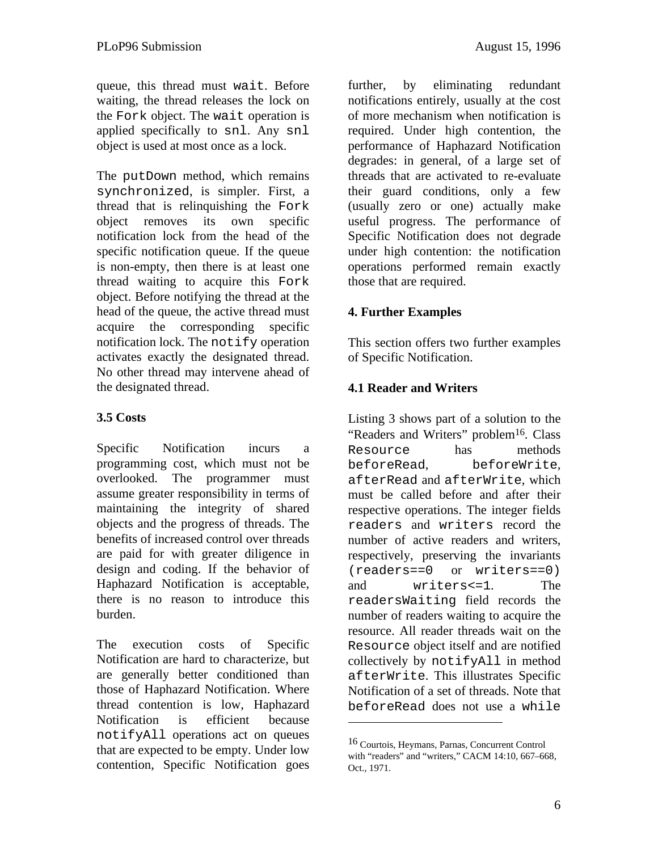queue, this thread must wait. Before waiting, the thread releases the lock on the Fork object. The wait operation is applied specifically to snl. Any snl object is used at most once as a lock.

The putDown method, which remains synchronized, is simpler. First, a thread that is relinquishing the Fork object removes its own specific notification lock from the head of the specific notification queue. If the queue is non-empty, then there is at least one thread waiting to acquire this Fork object. Before notifying the thread at the head of the queue, the active thread must acquire the corresponding specific notification lock. The notify operation activates exactly the designated thread. No other thread may intervene ahead of the designated thread.

## **3.5 Costs**

Specific Notification incurs a programming cost, which must not be overlooked. The programmer must assume greater responsibility in terms of maintaining the integrity of shared objects and the progress of threads. The benefits of increased control over threads are paid for with greater diligence in design and coding. If the behavior of Haphazard Notification is acceptable, there is no reason to introduce this burden.

The execution costs of Specific Notification are hard to characterize, but are generally better conditioned than those of Haphazard Notification. Where thread contention is low, Haphazard Notification is efficient because notifyAll operations act on queues that are expected to be empty. Under low contention, Specific Notification goes

further, by eliminating redundant notifications entirely, usually at the cost of more mechanism when notification is required. Under high contention, the performance of Haphazard Notification degrades: in general, of a large set of threads that are activated to re-evaluate their guard conditions, only a few (usually zero or one) actually make useful progress. The performance of Specific Notification does not degrade under high contention: the notification operations performed remain exactly those that are required.

## **4. Further Examples**

This section offers two further examples of Specific Notification.

#### **4.1 Reader and Writers**

Listing 3 shows part of a solution to the "Readers and Writers" problem<sup>16</sup>. Class Resource has methods beforeRead, beforeWrite, afterRead and afterWrite, which must be called before and after their respective operations. The integer fields readers and writers record the number of active readers and writers, respectively, preserving the invariants (readers==0 or writers==0) and writers<=1. The readersWaiting field records the number of readers waiting to acquire the resource. All reader threads wait on the Resource object itself and are notified collectively by notifyAll in method afterWrite. This illustrates Specific Notification of a set of threads. Note that beforeRead does not use a while

<sup>16</sup> Courtois, Heymans, Parnas, Concurrent Control with "readers" and "writers," CACM 14:10, 667-668, Oct., 1971.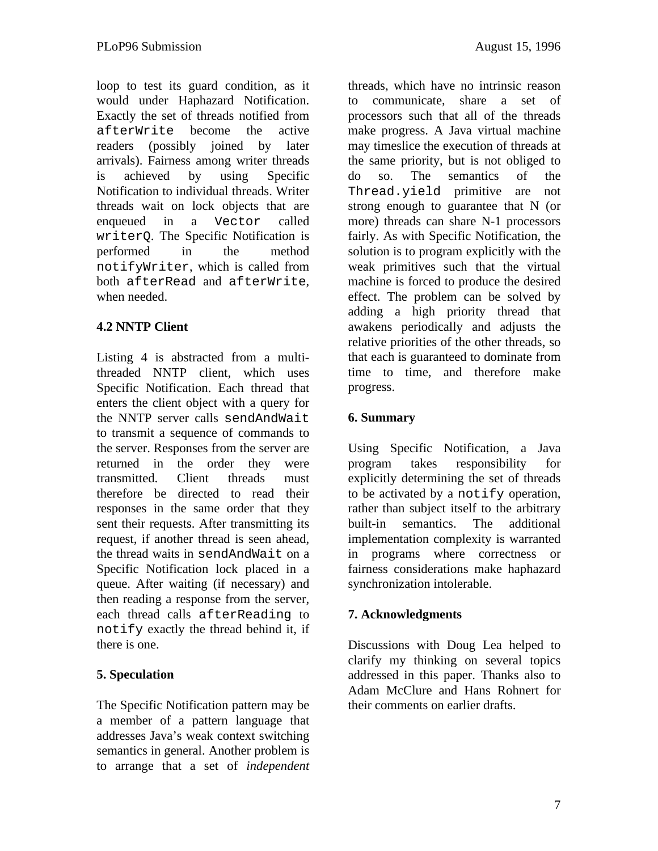loop to test its guard condition, as it would under Haphazard Notification. Exactly the set of threads notified from afterWrite become the active readers (possibly joined by later arrivals). Fairness among writer threads is achieved by using Specific Notification to individual threads. Writer threads wait on lock objects that are enqueued in a Vector called writerQ. The Specific Notification is performed in the method notifyWriter, which is called from both afterRead and afterWrite, when needed.

## **4.2 NNTP Client**

Listing 4 is abstracted from a multithreaded NNTP client, which uses Specific Notification. Each thread that enters the client object with a query for the NNTP server calls sendAndWait to transmit a sequence of commands to the server. Responses from the server are returned in the order they were transmitted. Client threads must therefore be directed to read their responses in the same order that they sent their requests. After transmitting its request, if another thread is seen ahead, the thread waits in sendAndWait on a Specific Notification lock placed in a queue. After waiting (if necessary) and then reading a response from the server, each thread calls afterReading to notify exactly the thread behind it, if there is one.

## **5. Speculation**

The Specific Notification pattern may be a member of a pattern language that addresses Java's weak context switching semantics in general. Another problem is to arrange that a set of *independent*

threads, which have no intrinsic reason to communicate, share a set of processors such that all of the threads make progress. A Java virtual machine may timeslice the execution of threads at the same priority, but is not obliged to do so. The semantics of the Thread.yield primitive are not strong enough to guarantee that N (or more) threads can share N-1 processors fairly. As with Specific Notification, the solution is to program explicitly with the weak primitives such that the virtual machine is forced to produce the desired effect. The problem can be solved by adding a high priority thread that awakens periodically and adjusts the relative priorities of the other threads, so that each is guaranteed to dominate from time to time, and therefore make progress.

## **6. Summary**

Using Specific Notification, a Java program takes responsibility for explicitly determining the set of threads to be activated by a notify operation, rather than subject itself to the arbitrary built-in semantics. The additional implementation complexity is warranted in programs where correctness or fairness considerations make haphazard synchronization intolerable.

## **7. Acknowledgments**

Discussions with Doug Lea helped to clarify my thinking on several topics addressed in this paper. Thanks also to Adam McClure and Hans Rohnert for their comments on earlier drafts.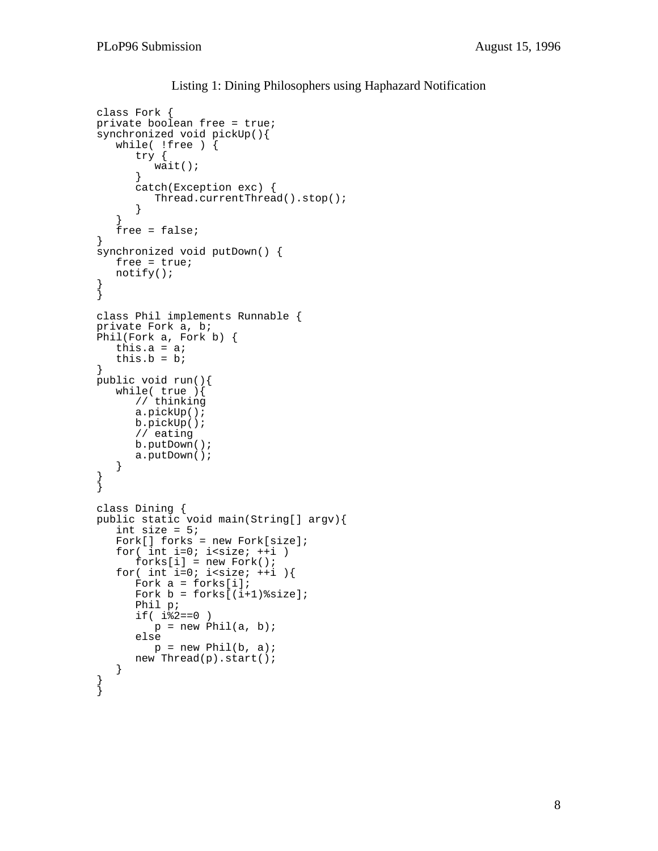}

```
class Fork {
private boolean free = true;
synchronized void pickUp(){
   while( !free ) {
      try {
         width();
      }
      catch(Exception exc) {
         Thread.currentThread().stop();
      }
   }
   free = false;
}
synchronized void putDown() {
   free = true;
   notify();
}
}
class Phil implements Runnable {
private Fork a, b;
Phil(Fork a, Fork b) {
   this.a = a;
   this.b = bi}
public void run(){
   while( true ){
      // thinking
      a.pickUp();
      b.pickUp();
      // eating
      b.putDown();
      a.putDown();
   }
}
}
class Dining {
public static void main(String[] argv){
   int size = 5;Fork[] forks = new Fork[size];
   for( int i=0; i<size; ++i)
      forks[i] = new Fork();for( int i=0; i<size; ++i ){
      Fork a = forks[i];
      Fork b = forks[(i+1)\size];
      Phil p;
      if( i 2 == 0 )p = new Phil(a, b);else
         p = new Phil(b, a);new Thread(p).start();
   }
}
```
Listing 1: Dining Philosophers using Haphazard Notification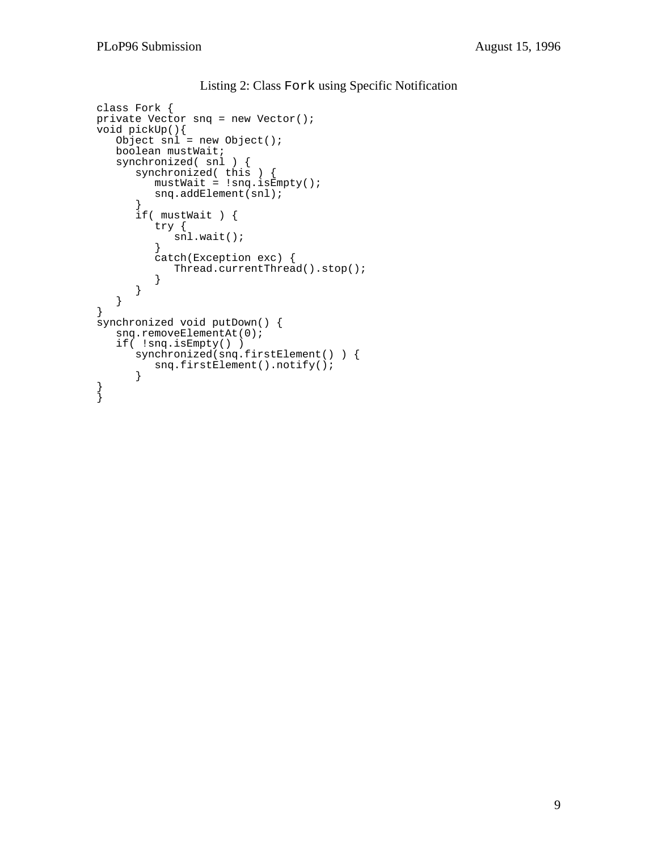```
class Fork {
private Vector snq = new Vector();
void pickUp(){
   Object snl = new Object();
   boolean mustWait;
   synchronized( snl ) {
      synchronized( this ) {
         mustWait = !snq.isEmpty();
         snq.addElement(snl);
      }
      if( mustWait ) {
         try {
            snl.wait();
         }
         catch(Exception exc) {
            Thread.currentThread().stop();
         }
      }
   }
}
synchronized void putDown() {
   snq.removeElementAt(0);
   if( !snq.isEmpty() )
      synchronized(snq.firstElement() ) {
         snq.firstElement().notify();
      }
}
}
```
#### Listing 2: Class Fork using Specific Notification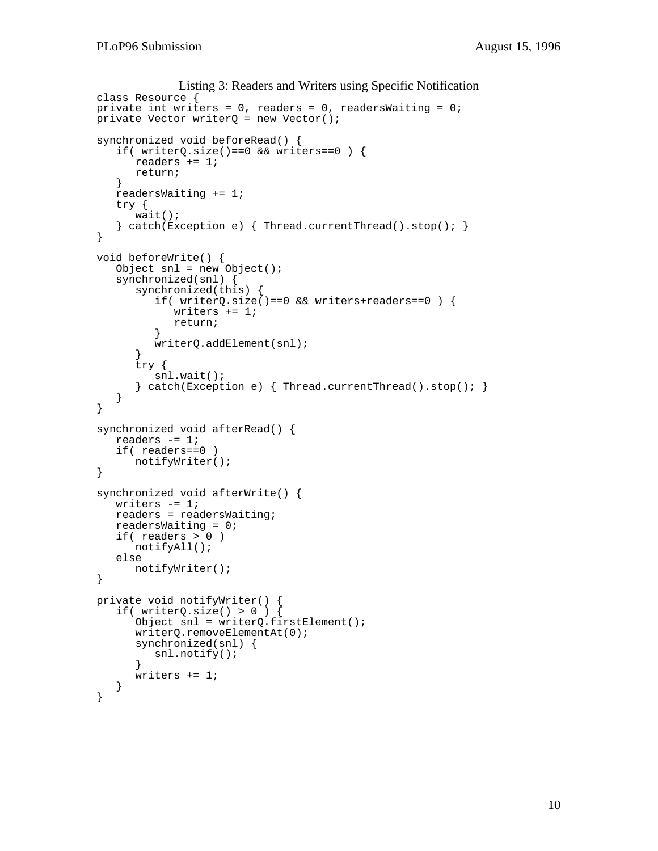```
Listing 3: Readers and Writers using Specific Notification
class Resource {
private int writers = 0, readers = 0, readersWaiting = 0;
private Vector writerQ = new Vector();
synchronized void beforeRead() {
   if( writerQ.size()==0 && writers==0 \big) {
      readers += 1;
      return;
   }
   readersWaiting += 1;
   try {
      wait();
   \} catch(Exception e) { Thread.currentThread().stop(); }
}
void beforeWrite() {
   Object snl = new Object();
   synchronized(snl) {
      synchronized(this) {
         if( writerQ.size()==0 && writers+readers==0 ) {
            writers += 1;
            return;
         }
         writerQ.addElement(snl);
      }
      try {
         snl.wait();
      } catch(Exception e) { Thread.currentThread().stop(); }
   }
}
synchronized void afterRead() {
   readers -= 1;
   if( readers==0 )
      notifyWriter();
}
synchronized void afterWrite() {
   writers - 1;
   readers = readersWaiting;
   readersWaiting = 0;
   if( readers > 0 )
      notifyAll();
   else
      notifyWriter();
}
private void notifyWriter() {
   if( writerQ.size() > 0) {
      Object snl = writerQ.firstElement();
      writerQ.removeElementAt(0);
      synchronized(snl) {
         snl.notify();
      }
      writers += 1;}
}
```